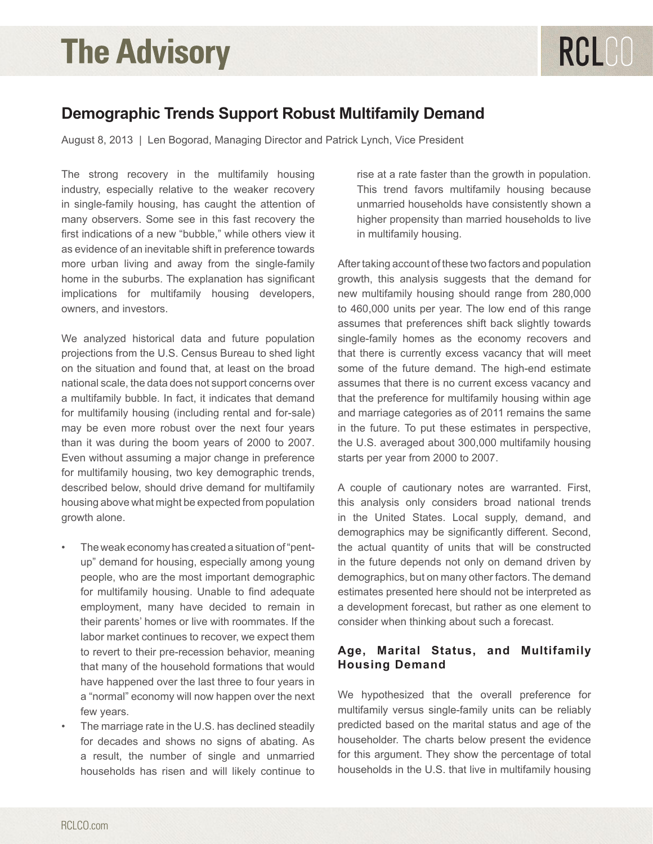### **Demographic Trends Support Robust Multifamily Demand**

August 8, 2013 | Len Bogorad, Managing Director and Patrick Lynch, Vice President

The strong recovery in the multifamily housing industry, especially relative to the weaker recovery in single-family housing, has caught the attention of many observers. Some see in this fast recovery the first indications of a new "bubble," while others view it as evidence of an inevitable shift in preference towards more urban living and away from the single-family home in the suburbs. The explanation has significant implications for multifamily housing developers, owners, and investors.

We analyzed historical data and future population projections from the U.S. Census Bureau to shed light on the situation and found that, at least on the broad national scale, the data does not support concerns over a multifamily bubble. In fact, it indicates that demand for multifamily housing (including rental and for-sale) may be even more robust over the next four years than it was during the boom years of 2000 to 2007. Even without assuming a major change in preference for multifamily housing, two key demographic trends, described below, should drive demand for multifamily housing above what might be expected from population growth alone.

- The weak economy has created a situation of "pentup" demand for housing, especially among young people, who are the most important demographic for multifamily housing. Unable to find adequate employment, many have decided to remain in their parents' homes or live with roommates. If the labor market continues to recover, we expect them to revert to their pre-recession behavior, meaning that many of the household formations that would have happened over the last three to four years in a "normal" economy will now happen over the next few years.
- The marriage rate in the U.S. has declined steadily for decades and shows no signs of abating. As a result, the number of single and unmarried households has risen and will likely continue to

rise at a rate faster than the growth in population. This trend favors multifamily housing because unmarried households have consistently shown a higher propensity than married households to live in multifamily housing.

After taking account of these two factors and population growth, this analysis suggests that the demand for new multifamily housing should range from 280,000 to 460,000 units per year. The low end of this range assumes that preferences shift back slightly towards single-family homes as the economy recovers and that there is currently excess vacancy that will meet some of the future demand. The high-end estimate assumes that there is no current excess vacancy and that the preference for multifamily housing within age and marriage categories as of 2011 remains the same in the future. To put these estimates in perspective, the U.S. averaged about 300,000 multifamily housing starts per year from 2000 to 2007.

A couple of cautionary notes are warranted. First, this analysis only considers broad national trends in the United States. Local supply, demand, and demographics may be significantly different. Second, the actual quantity of units that will be constructed in the future depends not only on demand driven by demographics, but on many other factors. The demand estimates presented here should not be interpreted as a development forecast, but rather as one element to consider when thinking about such a forecast.

### **Age, Marital Status, and Multifamily Housing Demand**

We hypothesized that the overall preference for multifamily versus single-family units can be reliably predicted based on the marital status and age of the householder. The charts below present the evidence for this argument. They show the percentage of total households in the U.S. that live in multifamily housing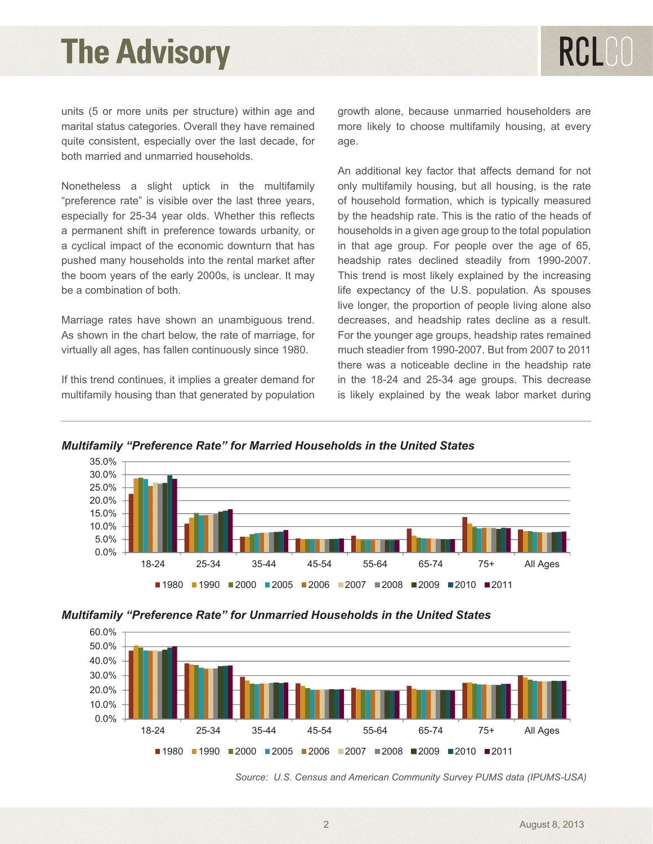units (5 or more units per structure) within age and marital status categories. Overall they have remained quite consistent, especially over the last decade, for both married and unmarried households.

Nonetheless a slight uptick in the multifamily "preference rate" is visible over the last three years, especially for 25-34 year olds. Whether this reflects a permanent shift in preference towards urbanity, or a cyclical impact of the economic downturn that has pushed many households into the rental market after the boom years of the early 2000s, is unclear. It may be a combination of both.

Marriage rates have shown an unambiguous trend. As shown in the chart below, the rate of marriage, for virtually all ages, has fallen continuously since 1980.

If this trend continues, it implies a greater demand for multifamily housing than that generated by population growth alone, because unmarried householders are more likely to choose multifamily housing, at every age.

An additional key factor that affects demand for not only multifamily housing, but all housing, is the rate of household formation, which is typically measured by the headship rate. This is the ratio of the heads of households in a given age group to the total population in that age group. For people over the age of 65, headship rates declined steadily from 1990-2007. This trend is most likely explained by the increasing life expectancy of the U.S. population. As spouses live longer, the proportion of people living alone also decreases, and headship rates decline as a result. For the younger age groups, headship rates remained much steadier from 1990-2007. But from 2007 to 2011 there was a noticeable decline in the headship rate in the 18-24 and 25-34 age groups. This decrease is likely explained by the weak labor market during



*Multifamily "Preference Rate" for Married Households in the United States*





*Source: U.S. Census and American Community Survey PUMS data (IPUMS-USA)*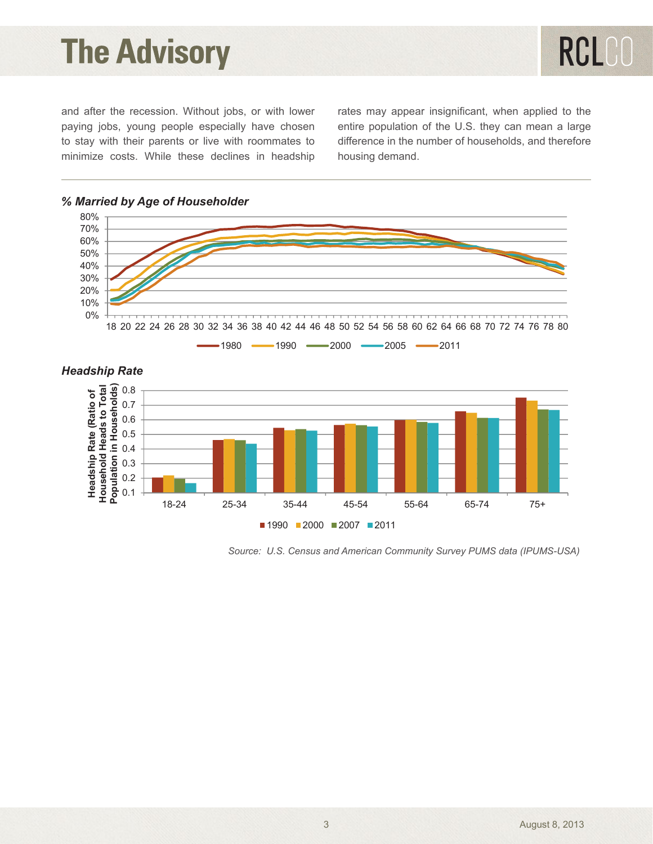RCLCO

and after the recession. Without jobs, or with lower paying jobs, young people especially have chosen to stay with their parents or live with roommates to minimize costs. While these declines in headship rates may appear insignificant, when applied to the entire population of the U.S. they can mean a large difference in the number of households, and therefore housing demand.



### *Headship Rate*



 *Source: U.S. Census and American Community Survey PUMS data (IPUMS-USA)*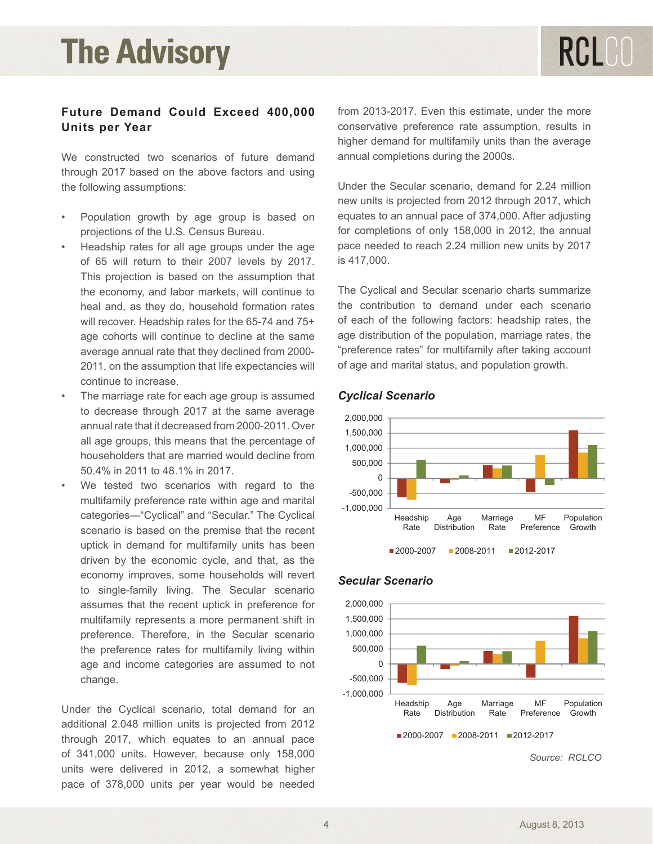### **Future Demand Could Exceed 400,000 Units per Year**

We constructed two scenarios of future demand through 2017 based on the above factors and using the following assumptions:

- Population growth by age group is based on projections of the U.S. Census Bureau.
- Headship rates for all age groups under the age of 65 will return to their 2007 levels by 2017. This projection is based on the assumption that the economy, and labor markets, will continue to heal and, as they do, household formation rates will recover. Headship rates for the 65-74 and 75+ age cohorts will continue to decline at the same average annual rate that they declined from 2000- 2011, on the assumption that life expectancies will continue to increase.
- The marriage rate for each age group is assumed to decrease through 2017 at the same average annual rate that it decreased from 2000-2011. Over all age groups, this means that the percentage of householders that are married would decline from 50.4% in 2011 to 48.1% in 2017.
- We tested two scenarios with regard to the multifamily preference rate within age and marital categories—"Cyclical" and "Secular." The Cyclical scenario is based on the premise that the recent uptick in demand for multifamily units has been driven by the economic cycle, and that, as the economy improves, some households will revert to single-family living. The Secular scenario assumes that the recent uptick in preference for multifamily represents a more permanent shift in preference. Therefore, in the Secular scenario the preference rates for multifamily living within age and income categories are assumed to not change.

Under the Cyclical scenario, total demand for an additional 2.048 million units is projected from 2012 through 2017, which equates to an annual pace of 341,000 units. However, because only 158,000 units were delivered in 2012, a somewhat higher pace of 378,000 units per year would be needed

from 2013-2017. Even this estimate, under the more conservative preference rate assumption, results in higher demand for multifamily units than the average annual completions during the 2000s.

Under the Secular scenario, demand for 2.24 million new units is projected from 2012 through 2017, which **Cyclical Scenario**  equates to an annual pace of 374,000. After adjusting for completions of only 158,000 in 2012, the annual pace needed to reach 2.24 million new units by 2017 is 417,000.

The Cyclical and Secular scenario charts summarize 0 the contribution to demand under each scenario of each of the following factors: headship rates, the age distribution of the population, marriage rates, the "preference rates" for multifamily after taking account of age and marital status, and population growth.  $\frac{1}{2}$  $\sim$ auon, ma  $\sim$  rotal  $\epsilon$  rates, the



## Secular Scenario *Cyclical Scenario*



#### *Secular Scenario*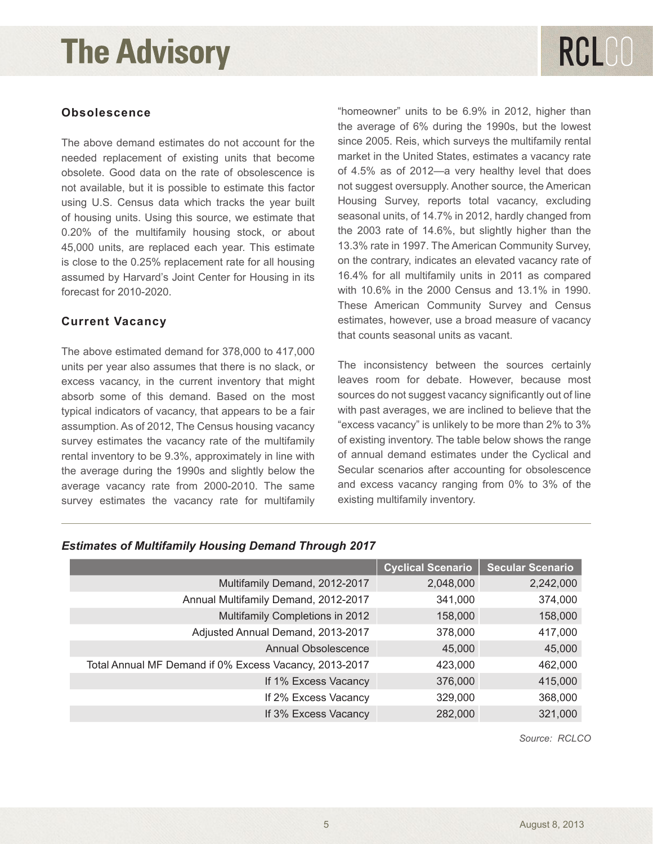# RCLCO

### **Obsolescence**

The above demand estimates do not account for the needed replacement of existing units that become obsolete. Good data on the rate of obsolescence is not available, but it is possible to estimate this factor using U.S. Census data which tracks the year built of housing units. Using this source, we estimate that 0.20% of the multifamily housing stock, or about 45,000 units, are replaced each year. This estimate is close to the 0.25% replacement rate for all housing assumed by Harvard's Joint Center for Housing in its forecast for 2010-2020.

### **Current Vacancy**

The above estimated demand for 378,000 to 417,000 units per year also assumes that there is no slack, or excess vacancy, in the current inventory that might absorb some of this demand. Based on the most typical indicators of vacancy, that appears to be a fair assumption. As of 2012, The Census housing vacancy survey estimates the vacancy rate of the multifamily rental inventory to be 9.3%, approximately in line with the average during the 1990s and slightly below the average vacancy rate from 2000-2010. The same survey estimates the vacancy rate for multifamily

"homeowner" units to be 6.9% in 2012, higher than the average of 6% during the 1990s, but the lowest since 2005. Reis, which surveys the multifamily rental market in the United States, estimates a vacancy rate of 4.5% as of 2012—a very healthy level that does not suggest oversupply. Another source, the American Housing Survey, reports total vacancy, excluding seasonal units, of 14.7% in 2012, hardly changed from the 2003 rate of 14.6%, but slightly higher than the 13.3% rate in 1997. The American Community Survey, on the contrary, indicates an elevated vacancy rate of 16.4% for all multifamily units in 2011 as compared with 10.6% in the 2000 Census and 13.1% in 1990. These American Community Survey and Census estimates, however, use a broad measure of vacancy that counts seasonal units as vacant.

The inconsistency between the sources certainly leaves room for debate. However, because most sources do not suggest vacancy significantly out of line with past averages, we are inclined to believe that the "excess vacancy" is unlikely to be more than 2% to 3% of existing inventory. The table below shows the range of annual demand estimates under the Cyclical and Secular scenarios after accounting for obsolescence and excess vacancy ranging from 0% to 3% of the existing multifamily inventory.

|                                                        | <b>Cyclical Scenario</b> | <b>Secular Scenario</b> |
|--------------------------------------------------------|--------------------------|-------------------------|
| Multifamily Demand, 2012-2017                          | 2,048,000                | 2,242,000               |
| Annual Multifamily Demand, 2012-2017                   | 341,000                  | 374,000                 |
| Multifamily Completions in 2012                        | 158,000                  | 158,000                 |
| Adjusted Annual Demand, 2013-2017                      | 378,000                  | 417,000                 |
| <b>Annual Obsolescence</b>                             | 45,000                   | 45,000                  |
| Total Annual MF Demand if 0% Excess Vacancy, 2013-2017 | 423,000                  | 462,000                 |
| If 1% Excess Vacancy                                   | 376,000                  | 415,000                 |
| If 2% Excess Vacancy                                   | 329,000                  | 368,000                 |
| If 3% Excess Vacancy                                   | 282,000                  | 321,000                 |

#### *Estimates of Multifamily Housing Demand Through 2017*

*Source: RCLCO*